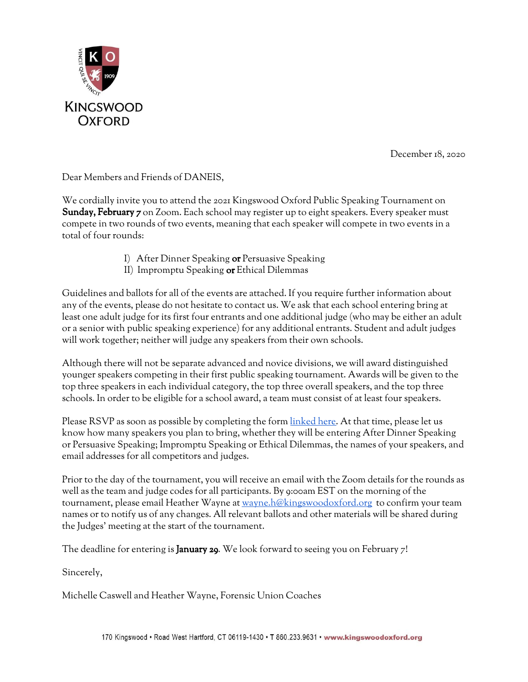

December 18, 2020

Dear Members and Friends of DANEIS,

We cordially invite you to attend the 2021 Kingswood Oxford Public Speaking Tournament on Sunday, February 7 on Zoom. Each school may register up to eight speakers. Every speaker must compete in two rounds of two events, meaning that each speaker will compete in two events in a total of four rounds:

- I) After Dinner Speaking or Persuasive Speaking
- II) Impromptu Speaking or Ethical Dilemmas

Guidelines and ballots for all of the events are attached. If you require further information about any of the events, please do not hesitate to contact us. We ask that each school entering bring at least one adult judge for its first four entrants and one additional judge (who may be either an adult or a senior with public speaking experience) for any additional entrants. Student and adult judges will work together; neither will judge any speakers from their own schools.

Although there will not be separate advanced and novice divisions, we will award distinguished younger speakers competing in their first public speaking tournament. Awards will be given to the top three speakers in each individual category, the top three overall speakers, and the top three schools. In order to be eligible for a school award, a team must consist of at least four speakers.

Please RSVP as soon as possible by completing the form [linked](https://docs.google.com/forms/d/e/1FAIpQLScgaYAp3fi-cQuaDxhXS1-Y4izxdCelOYLdU7cvWs3AT01nOQ/viewform?usp=sf_link) here. At that time, please let us know how many speakers you plan to bring, whether they will be entering After Dinner Speaking or Persuasive Speaking; Impromptu Speaking or Ethical Dilemmas, the names of your speakers, and email addresses for all competitors and judges.

Prior to the day of the tournament, you will receive an email with the Zoom details for the rounds as well as the team and judge codes for all participants. By 9:00am EST on the morning of the tournament, please email Heather Wayne at [wayne.h@kingswoodoxford.org](mailto:wayne.h@kingswoodoxford.org) to confirm your team names or to notify us of any changes. All relevant ballots and other materials will be shared during the Judges' meeting at the start of the tournament.

The deadline for entering is **January 29**. We look forward to seeing you on February  $7!$ 

Sincerely,

Michelle Caswell and Heather Wayne, Forensic Union Coaches